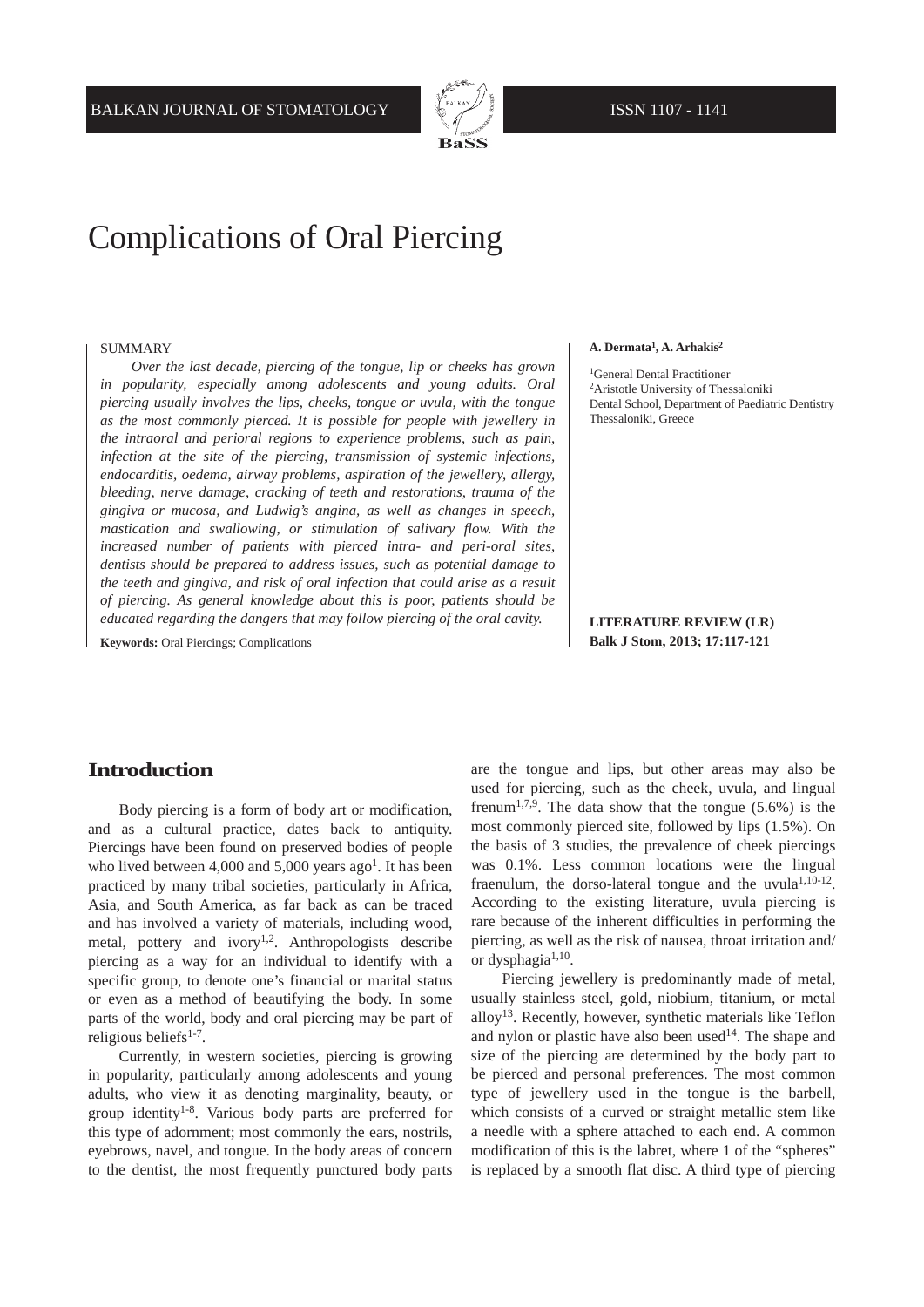

# Complications of Oral Piercing

#### SUMMARY

*Over the last decade, piercing of the tongue, lip or cheeks has grown in popularity, especially among adolescents and young adults. Oral piercing usually involves the lips, cheeks, tongue or uvula, with the tongue as the most commonly pierced. It is possible for people with jewellery in the intraoral and perioral regions to experience problems, such as pain, infection at the site of the piercing, transmission of systemic infections, endocarditis, oedema, airway problems, aspiration of the jewellery, allergy, bleeding, nerve damage, cracking of teeth and restorations, trauma of the gingiva or mucosa, and Ludwig's angina, as well as changes in speech, mastication and swallowing, or stimulation of salivary flow. With the increased number of patients with pierced intra- and peri-oral sites, dentists should be prepared to address issues, such as potential damage to the teeth and gingiva, and risk of oral infection that could arise as a result of piercing. As general knowledge about this is poor, patients should be educated regarding the dangers that may follow piercing of the oral cavity.*

**Keywords:** Oral Piercings; Complications

### **A. Dermata1, A. Arhakis2**

<sup>1</sup>General Dental Practitioner 2Aristotle University of Thessaloniki Dental School, Department of Paediatric Dentistry Thessaloniki, Greece

### **LITERATURE REVIEW (LR) Balk J Stom, 2013; 17:117-121**

### **Introduction**

Body piercing is a form of body art or modification, and as a cultural practice, dates back to antiquity. Piercings have been found on preserved bodies of people who lived between 4,000 and 5,000 years ago<sup>1</sup>. It has been practiced by many tribal societies, particularly in Africa, Asia, and South America, as far back as can be traced and has involved a variety of materials, including wood, metal, pottery and ivory<sup>1,2</sup>. Anthropologists describe piercing as a way for an individual to identify with a specific group, to denote one's financial or marital status or even as a method of beautifying the body. In some parts of the world, body and oral piercing may be part of religious beliefs<sup>1-7</sup>.

Currently, in western societies, piercing is growing in popularity, particularly among adolescents and young adults, who view it as denoting marginality, beauty, or group identity1-8. Various body parts are preferred for this type of adornment; most commonly the ears, nostrils, eyebrows, navel, and tongue. In the body areas of concern to the dentist, the most frequently punctured body parts are the tongue and lips, but other areas may also be used for piercing, such as the cheek, uvula, and lingual frenum<sup>1,7,9</sup>. The data show that the tongue  $(5.6\%)$  is the most commonly pierced site, followed by lips (1.5%). On the basis of 3 studies, the prevalence of cheek piercings was 0.1%. Less common locations were the lingual fraenulum, the dorso-lateral tongue and the uvula<sup> $1,10-12$ </sup>. According to the existing literature, uvula piercing is rare because of the inherent difficulties in performing the piercing, as well as the risk of nausea, throat irritation and/ or dysphagia<sup>1,10</sup>.

Piercing jewellery is predominantly made of metal, usually stainless steel, gold, niobium, titanium, or metal alloy13. Recently, however, synthetic materials like Teflon and nylon or plastic have also been used<sup>14</sup>. The shape and size of the piercing are determined by the body part to be pierced and personal preferences. The most common type of jewellery used in the tongue is the barbell, which consists of a curved or straight metallic stem like a needle with a sphere attached to each end. A common modification of this is the labret, where 1 of the "spheres" is replaced by a smooth flat disc. A third type of piercing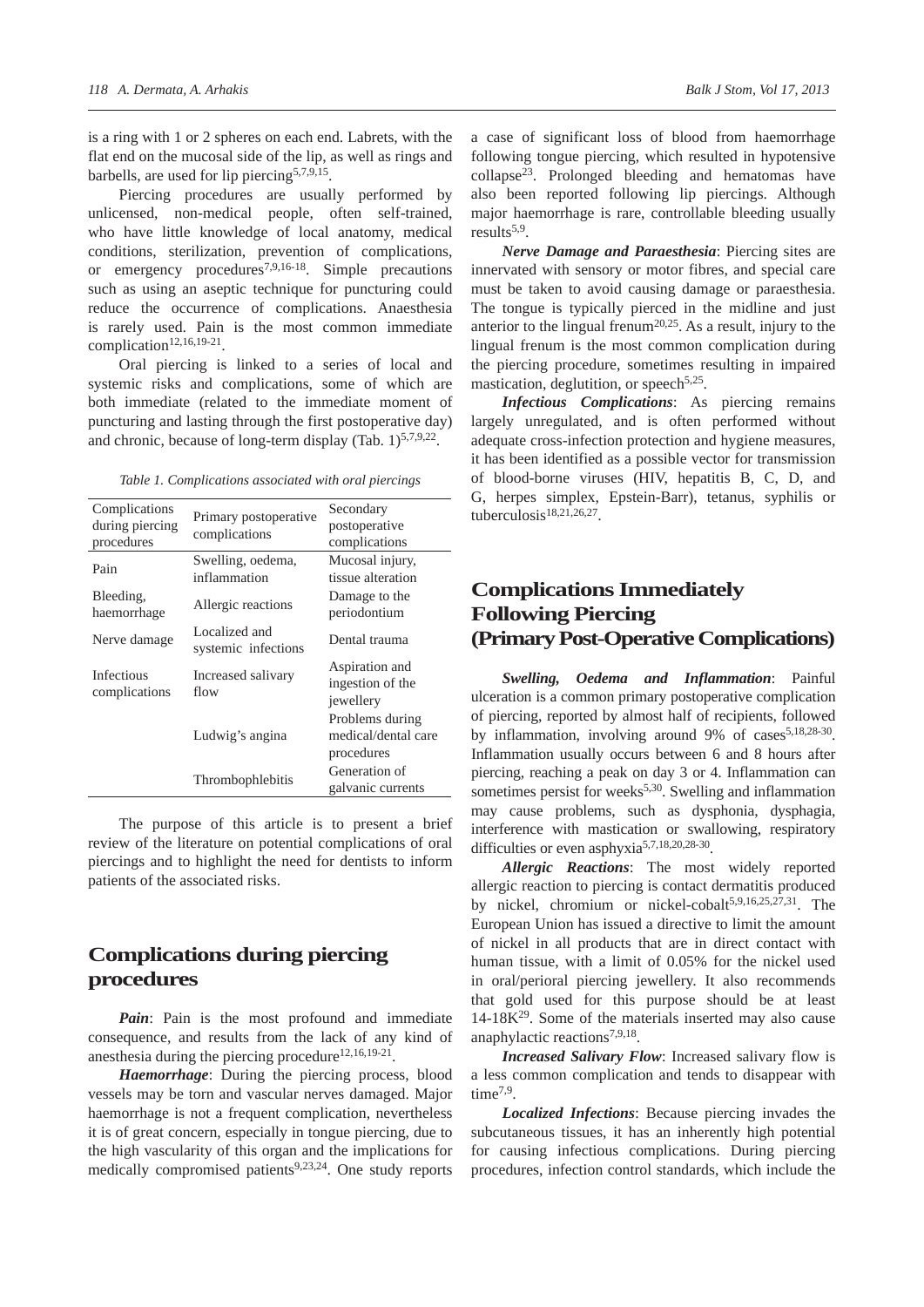is a ring with 1 or 2 spheres on each end. Labrets, with the flat end on the mucosal side of the lip, as well as rings and barbells, are used for lip piercing<sup>5,7,9,15</sup>.

Piercing procedures are usually performed by unlicensed, non-medical people, often self-trained, who have little knowledge of local anatomy, medical conditions, sterilization, prevention of complications, or emergency procedures7,9,16-18. Simple precautions such as using an aseptic technique for puncturing could reduce the occurrence of complications. Anaesthesia is rarely used. Pain is the most common immediate complication<sup>12,16,19-21</sup>.

Oral piercing is linked to a series of local and systemic risks and complications, some of which are both immediate (related to the immediate moment of puncturing and lasting through the first postoperative day) and chronic, because of long-term display (Tab.  $1)^{5,7,9,22}$ .

*Table 1. Complications associated with oral piercings*

| Complications<br>during piercing<br>procedures | Primary postoperative<br>complications | Secondary<br>postoperative<br>complications          |
|------------------------------------------------|----------------------------------------|------------------------------------------------------|
| Pain                                           | Swelling, oedema,<br>inflammation      | Mucosal injury,<br>tissue alteration                 |
| Bleeding,<br>haemorrhage                       | Allergic reactions                     | Damage to the<br>periodontium                        |
| Nerve damage                                   | Localized and<br>systemic infections   | Dental trauma                                        |
| <b>Infectious</b><br>complications             | Increased salivary<br>flow             | Aspiration and<br>ingestion of the<br>jewellery      |
|                                                | Ludwig's angina                        | Problems during<br>medical/dental care<br>procedures |
|                                                | Thrombophlebitis                       | Generation of<br>galvanic currents                   |

The purpose of this article is to present a brief review of the literature on potential complications of oral piercings and to highlight the need for dentists to inform patients of the associated risks.

# **Complications during piercing procedures**

*Pain*: Pain is the most profound and immediate consequence, and results from the lack of any kind of anesthesia during the piercing procedure<sup>12,16,19-21</sup>.

*Haemorrhage*: During the piercing process, blood vessels may be torn and vascular nerves damaged. Major haemorrhage is not a frequent complication, nevertheless it is of great concern, especially in tongue piercing, due to the high vascularity of this organ and the implications for medically compromised patients<sup>9,23,24</sup>. One study reports a case of significant loss of blood from haemorrhage following tongue piercing, which resulted in hypotensive collapse23. Prolonged bleeding and hematomas have also been reported following lip piercings. Although major haemorrhage is rare, controllable bleeding usually results<sup>5,9</sup>.

*Nerve Damage and Paraesthesia*: Piercing sites are innervated with sensory or motor fibres, and special care must be taken to avoid causing damage or paraesthesia. The tongue is typically pierced in the midline and just anterior to the lingual frenum<sup>20,25</sup>. As a result, injury to the lingual frenum is the most common complication during the piercing procedure, sometimes resulting in impaired mastication, deglutition, or speech<sup>5,25</sup>.

*Infectious Complications*: As piercing remains largely unregulated, and is often performed without adequate cross-infection protection and hygiene measures, it has been identified as a possible vector for transmission of blood-borne viruses (HIV, hepatitis B, C, D, and G, herpes simplex, Epstein-Barr), tetanus, syphilis or tuberculosis $18,21,26,27$ .

# **Complications Immediately Following Piercing (Primary Post-Operative Complications)**

*Swelling, Oedema and Inflammation*: Painful ulceration is a common primary postoperative complication of piercing, reported by almost half of recipients, followed by inflammation, involving around 9% of cases<sup>5,18,28-30</sup>. Inflammation usually occurs between 6 and 8 hours after piercing, reaching a peak on day 3 or 4. Inflammation can sometimes persist for weeks $5,30$ . Swelling and inflammation may cause problems, such as dysphonia, dysphagia, interference with mastication or swallowing, respiratory difficulties or even asphyxia5,7,18,20,28-30.

*Allergic Reactions*: The most widely reported allergic reaction to piercing is contact dermatitis produced by nickel, chromium or nickel-cobalt<sup>5,9,16,25,27,31</sup>. The European Union has issued a directive to limit the amount of nickel in all products that are in direct contact with human tissue, with a limit of 0.05% for the nickel used in oral/perioral piercing jewellery. It also recommends that gold used for this purpose should be at least  $14-18K<sup>29</sup>$ . Some of the materials inserted may also cause anaphylactic reactions<sup>7,9,18</sup>.

*Increased Salivary Flow*: Increased salivary flow is a less common complication and tends to disappear with time<sup>7,9</sup>.

*Localized Infections*: Because piercing invades the subcutaneous tissues, it has an inherently high potential for causing infectious complications. During piercing procedures, infection control standards, which include the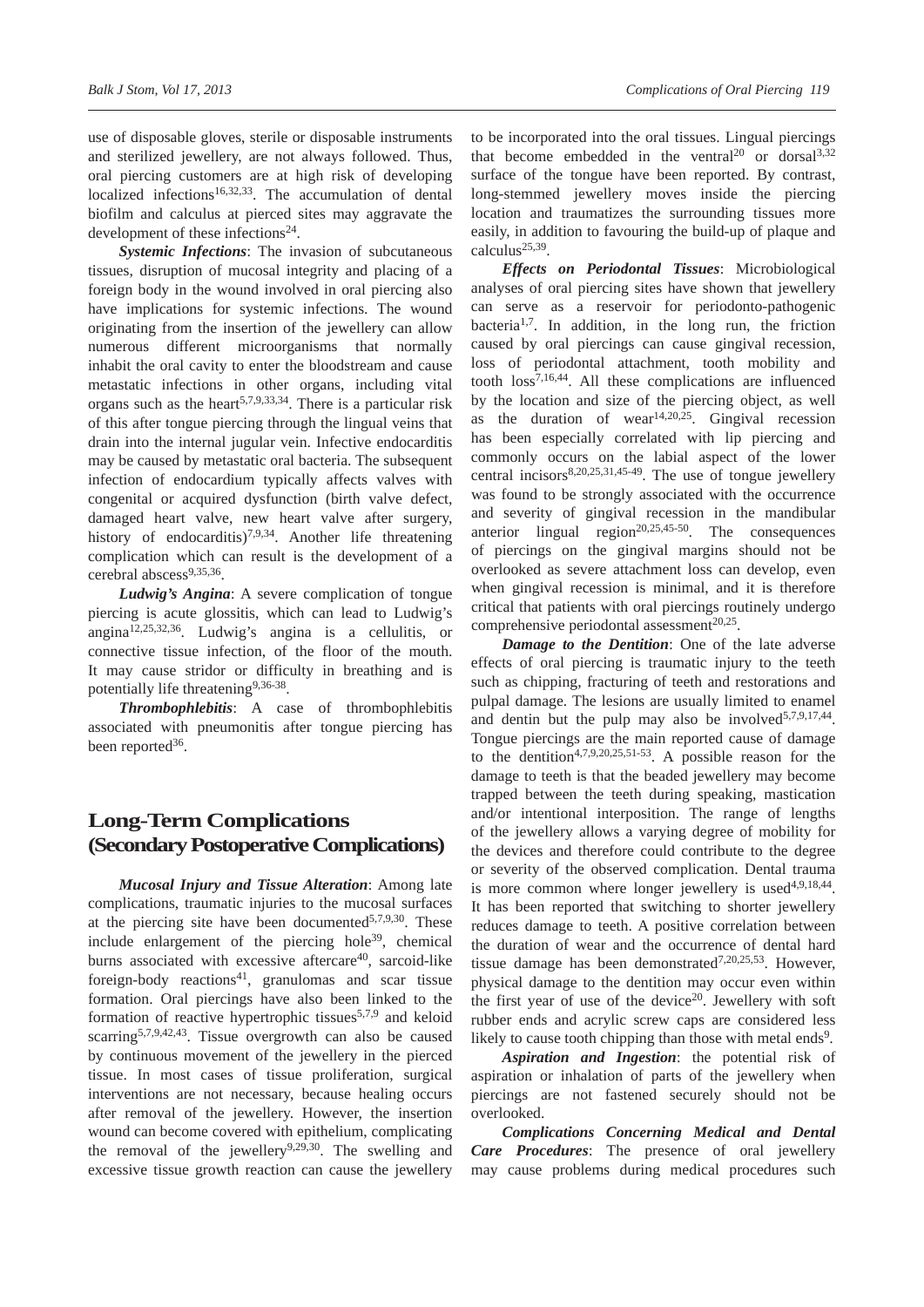use of disposable gloves, sterile or disposable instruments and sterilized jewellery, are not always followed. Thus, oral piercing customers are at high risk of developing localized infections<sup>16,32,33</sup>. The accumulation of dental biofilm and calculus at pierced sites may aggravate the development of these infections<sup>24</sup>.

*Systemic Infections*: The invasion of subcutaneous tissues, disruption of mucosal integrity and placing of a foreign body in the wound involved in oral piercing also have implications for systemic infections. The wound originating from the insertion of the jewellery can allow numerous different microorganisms that normally inhabit the oral cavity to enter the bloodstream and cause metastatic infections in other organs, including vital organs such as the heart<sup>5,7,9,33,34</sup>. There is a particular risk of this after tongue piercing through the lingual veins that drain into the internal jugular vein. Infective endocarditis may be caused by metastatic oral bacteria. The subsequent infection of endocardium typically affects valves with congenital or acquired dysfunction (birth valve defect, damaged heart valve, new heart valve after surgery, history of endocarditis)<sup>7,9,34</sup>. Another life threatening complication which can result is the development of a cerebral abscess<sup>9,35,36</sup>.

*Ludwig's Angina*: A severe complication of tongue piercing is acute glossitis, which can lead to Ludwig's angina12,25,32,36. Ludwig's angina is a cellulitis, or connective tissue infection, of the floor of the mouth. It may cause stridor or difficulty in breathing and is potentially life threatening<sup>9,36-38</sup>.

*Thrombophlebitis*: A case of thrombophlebitis associated with pneumonitis after tongue piercing has been reported<sup>36</sup>.

# **Long-Term Complications (Secondary Postoperative Complications)**

*Mucosal Injury and Tissue Alteration*: Among late complications, traumatic injuries to the mucosal surfaces at the piercing site have been documented $5,7,9,30$ . These include enlargement of the piercing hole<sup>39</sup>, chemical burns associated with excessive aftercare<sup>40</sup>, sarcoid-like foreign-body reactions<sup>41</sup>, granulomas and scar tissue formation. Oral piercings have also been linked to the formation of reactive hypertrophic tissues<sup>5,7,9</sup> and keloid scarring<sup>5,7,9,42,43</sup>. Tissue overgrowth can also be caused by continuous movement of the jewellery in the pierced tissue. In most cases of tissue proliferation, surgical interventions are not necessary, because healing occurs after removal of the jewellery. However, the insertion wound can become covered with epithelium, complicating the removal of the jewellery $9,29,30$ . The swelling and excessive tissue growth reaction can cause the jewellery

to be incorporated into the oral tissues. Lingual piercings that become embedded in the ventral<sup>20</sup> or dorsal<sup>3,32</sup> surface of the tongue have been reported. By contrast, long-stemmed jewellery moves inside the piercing location and traumatizes the surrounding tissues more easily, in addition to favouring the build-up of plaque and  $calculus<sup>25,39</sup>$ .

*Effects on Periodontal Tissues*: Microbiological analyses of oral piercing sites have shown that jewellery can serve as a reservoir for periodonto-pathogenic bacteria<sup>1,7</sup>. In addition, in the long run, the friction caused by oral piercings can cause gingival recession, loss of periodontal attachment, tooth mobility and tooth loss7,16,44. All these complications are influenced by the location and size of the piercing object, as well as the duration of wear<sup>14,20,25</sup>. Gingival recession has been especially correlated with lip piercing and commonly occurs on the labial aspect of the lower central incisors $8,20,25,31,45-49$ . The use of tongue jewellery was found to be strongly associated with the occurrence and severity of gingival recession in the mandibular anterior lingual region<sup>20,25,45-50</sup>. The consequences of piercings on the gingival margins should not be overlooked as severe attachment loss can develop, even when gingival recession is minimal, and it is therefore critical that patients with oral piercings routinely undergo comprehensive periodontal assessment $20,25$ .

*Damage to the Dentition*: One of the late adverse effects of oral piercing is traumatic injury to the teeth such as chipping, fracturing of teeth and restorations and pulpal damage. The lesions are usually limited to enamel and dentin but the pulp may also be involved $5,7,9,17,44$ . Tongue piercings are the main reported cause of damage to the dentition<sup>4,7,9,20,25,51-53</sup>. A possible reason for the damage to teeth is that the beaded jewellery may become trapped between the teeth during speaking, mastication and/or intentional interposition. The range of lengths of the jewellery allows a varying degree of mobility for the devices and therefore could contribute to the degree or severity of the observed complication. Dental trauma is more common where longer jewellery is used<sup>4,9,18,44</sup>. It has been reported that switching to shorter jewellery reduces damage to teeth. A positive correlation between the duration of wear and the occurrence of dental hard tissue damage has been demonstrated<sup>7,20,25,53</sup>. However, physical damage to the dentition may occur even within the first year of use of the device<sup>20</sup>. Jewellery with soft rubber ends and acrylic screw caps are considered less likely to cause tooth chipping than those with metal ends<sup>9</sup>.

*Aspiration and Ingestion*: the potential risk of aspiration or inhalation of parts of the jewellery when piercings are not fastened securely should not be overlooked.

*Complications Concerning Medical and Dental Care Procedures*: The presence of oral jewellery may cause problems during medical procedures such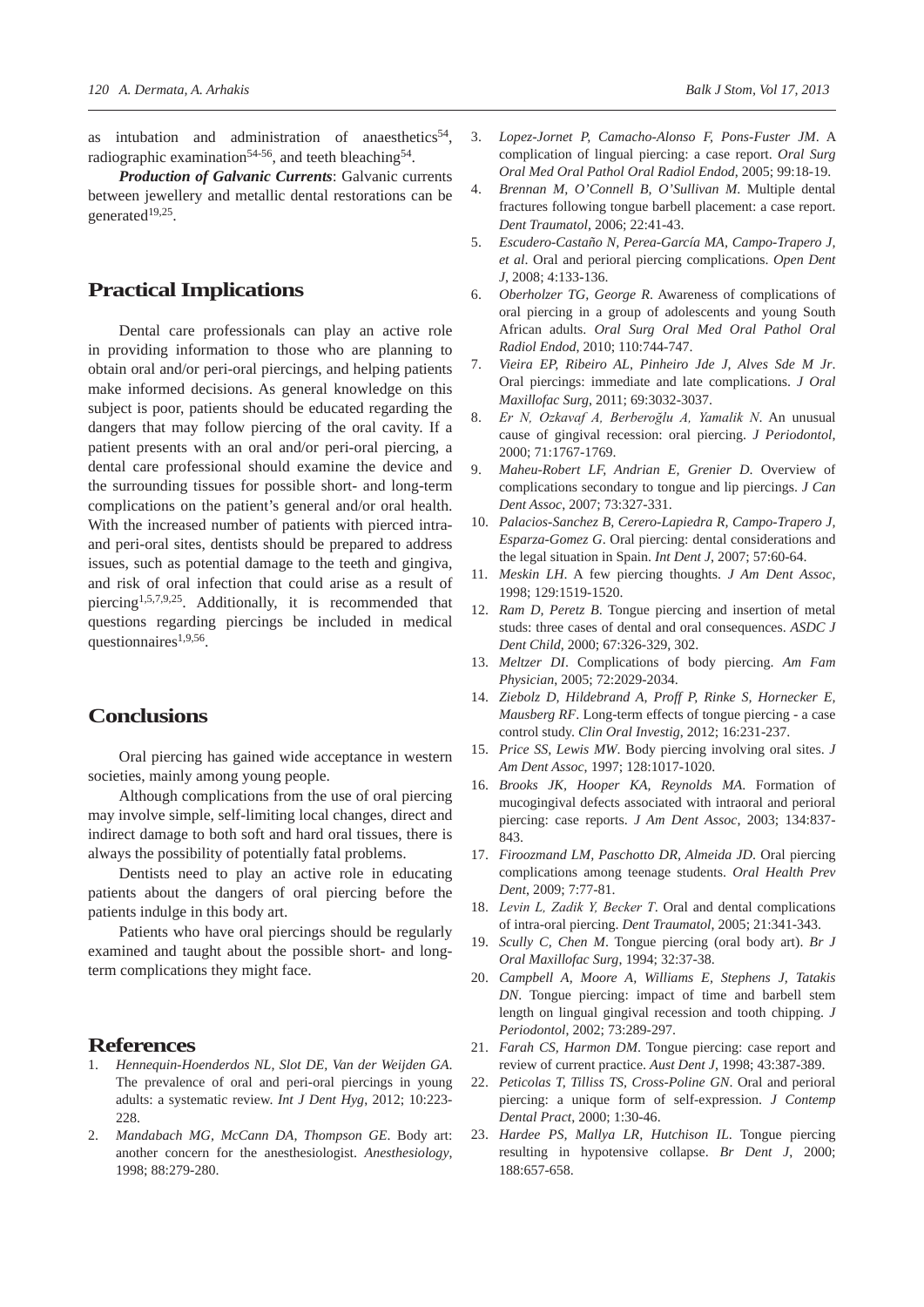as intubation and administration of anaesthetics $54$ , radiographic examination<sup>54-56</sup>, and teeth bleaching<sup>54</sup>.

*Production of Galvanic Currents*: Galvanic currents between jewellery and metallic dental restorations can be generated19,25.

## **Practical Implications**

Dental care professionals can play an active role in providing information to those who are planning to obtain oral and/or peri-oral piercings, and helping patients make informed decisions. As general knowledge on this subject is poor, patients should be educated regarding the dangers that may follow piercing of the oral cavity. If a patient presents with an oral and/or peri-oral piercing, a dental care professional should examine the device and the surrounding tissues for possible short- and long-term complications on the patient's general and/or oral health. With the increased number of patients with pierced intraand peri-oral sites, dentists should be prepared to address issues, such as potential damage to the teeth and gingiva, and risk of oral infection that could arise as a result of piercing1,5,7,9,25. Additionally, it is recommended that questions regarding piercings be included in medical questionnaires<sup>1,9,56</sup>.

## **Conclusions**

Oral piercing has gained wide acceptance in western societies, mainly among young people.

Although complications from the use of oral piercing may involve simple, self-limiting local changes, direct and indirect damage to both soft and hard oral tissues, there is always the possibility of potentially fatal problems.

Dentists need to play an active role in educating patients about the dangers of oral piercing before the patients indulge in this body art.

Patients who have oral piercings should be regularly examined and taught about the possible short- and longterm complications they might face.

# **References**<br>1 Henneauin-Ho

- 1. *Hennequin-Hoenderdos NL, Slot DE, Van der Weijden GA*. The prevalence of oral and peri-oral piercings in young adults: a systematic review. *Int J Dent Hyg*, 2012; 10:223- 228
- 2. *Mandabach MG, McCann DA, Thompson GE*. Body art: another concern for the anesthesiologist. *Anesthesiology*, 1998; 88:279-280.
- 3. *Lopez-Jornet P, Camacho-Alonso F, Pons-Fuster JM*. A complication of lingual piercing: a case report. *Oral Surg Oral Med Oral Pathol Oral Radiol Endod*, 2005; 99:18-19.
- 4. *Brennan M, O'Connell B, O'Sullivan M*. Multiple dental fractures following tongue barbell placement: a case report. *Dent Traumatol*, 2006; 22:41-43.
- 5. *Escudero-Castaño N, Perea-García MA, Campo-Trapero J, et al*. Oral and perioral piercing complications. *Open Dent J*, 2008; 4:133-136.
- 6. *Oberholzer TG, George R*. Awareness of complications of oral piercing in a group of adolescents and young South African adults. *Oral Surg Oral Med Oral Pathol Oral Radiol Endod*, 2010; 110:744-747.
- 7. *Vieira EP, Ribeiro AL, Pinheiro Jde J, Alves Sde M Jr*. Oral piercings: immediate and late complications. *J Oral Maxillofac Surg*, 2011; 69:3032-3037.
- 8. *Er N, Ozkavaf A, Berberoğlu A, Yamalik N*. An unusual cause of gingival recession: oral piercing. *J Periodontol*, 2000; 71:1767-1769.
- 9. *Maheu-Robert LF, Andrian E, Grenier D*. Overview of complications secondary to tongue and lip piercings. *J Can Dent Assoc*, 2007; 73:327-331.
- 10. *Palacios-Sanchez B, Cerero-Lapiedra R, Campo-Trapero J, Esparza-Gomez G*. Oral piercing: dental considerations and the legal situation in Spain. *Int Dent J*, 2007; 57:60-64.
- 11. *Meskin LH*. A few piercing thoughts. *J Am Dent Assoc*, 1998; 129:1519-1520.
- 12. *Ram D, Peretz B*. Tongue piercing and insertion of metal studs: three cases of dental and oral consequences. *ASDC J Dent Child*, 2000; 67:326-329, 302.
- 13. *Meltzer DI*. Complications of body piercing. *Am Fam Physician*, 2005; 72:2029-2034.
- 14. *Ziebolz D, Hildebrand A, Proff P, Rinke S, Hornecker E, Mausberg RF*. Long-term effects of tongue piercing - a case control study. *Clin Oral Investig*, 2012; 16:231-237.
- 15. *Price SS, Lewis MW*. Body piercing involving oral sites. *J Am Dent Assoc*, 1997; 128:1017-1020.
- 16. *Brooks JK, Hooper KA, Reynolds MA*. Formation of mucogingival defects associated with intraoral and perioral piercing: case reports. *J Am Dent Assoc*, 2003; 134:837- 843.
- 17. *Firoozmand LM, Paschotto DR, Almeida JD*. Oral piercing complications among teenage students. *Oral Health Prev Dent*, 2009; 7:77-81.
- 18. *Levin L, Zadik Y, Becker T*. Oral and dental complications of intra-oral piercing. *Dent Traumatol*, 2005; 21:341-343.
- 19. *Scully C, Chen M*. Tongue piercing (oral body art). *Br J Oral Maxillofac Surg*, 1994; 32:37-38.
- 20. *Campbell A, Moore A, Williams E, Stephens J, Tatakis DN*. Tongue piercing: impact of time and barbell stem length on lingual gingival recession and tooth chipping. *J Periodontol*, 2002; 73:289-297.
- 21. *Farah CS, Harmon DM*. Tongue piercing: case report and review of current practice. *Aust Dent J*, 1998; 43:387-389.
- 22. *Peticolas T, Tilliss TS, Cross-Poline GN*. Oral and perioral piercing: a unique form of self-expression. *J Contemp Dental Pract*, 2000; 1:30-46.
- 23. *Hardee PS, Mallya LR, Hutchison IL*. Tongue piercing resulting in hypotensive collapse. *Br Dent J*, 2000; 188:657-658.